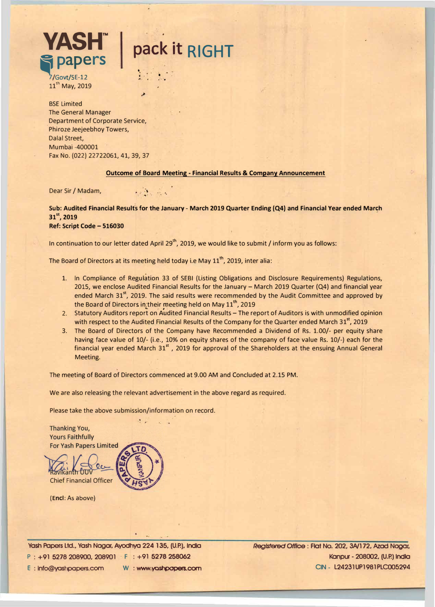# **pack it RIGHT**

• . . .  $\epsilon$   $\epsilon$   $\epsilon$   $\epsilon$ "'' I ... ..

**/Govt/SE-12** 11<sup>th</sup> May, 2019

**VASH™** 

BSE Limited The General Manager . Department of Corporate Service, Phiroze Jeejeebhoy Towers, Dalal Street, Mumbai -400001 Fax No. (022) 22722061, 41, 39, 37

#### **Outcome of Board Meeting - Financial Results & Company Announcement**

Dear Sir / Madam, **Dear Sir / Madam**,

**Sub: Audited Financial Results for the January - March 2019 Quarter Ending {Q4) and Financial Year ended Mar�h 31<sup>5</sup> \ 2019 Ref: Script Code - 516030** 

In continuation to our letter dated April 29<sup>th</sup>, 2019, we would like to submit / inform you as follows:

The Board of Directors at its meeting held today i.e May  $11<sup>th</sup>$ , 2019, inter alia:

- 1. In Compliance of Regulation 33 of SEBI {Listing Obligations and Disclosure Requirements) Regulations, 2015, we enclose Audited Financial Results for the January - March 2019 Quarter (Q4) and financial year ended March 31<sup>st</sup>, 2019. The said results were recommended by the Audit Committee and approved by the Board of Directors in their meeting held on May 11<sup>th</sup>, 2019
- 2. Statutory Auditors report on Audited Financial Results The report of Auditors is with unmodified opinion with respect to the Audited Financial Results of the Company for the Quarter ended March 31<sup>st</sup>, 2019
- 3. The Board of Directors of the Company have Recommended a Dividend of Rs. 1.00/- per equity share having face value of 10/- { i.e., 10% on equity shares of the company of face value Rs. 10/-) each for the financial year ended March 31<sup>st</sup>, 2019 for approval of the Shareholders at the ensuing Annual General Meeting.

The meeting of Board of Directors commenced at 9.00 AM and Concluded at 2.15 PM.

We are also releasing the relevant advertisement in the above regard as required.

Please take the above submission/information on record.



**(Encl:** As above)

Yash Papers Ltd., Yash Nagar. Ayodhya 224 135, (U.P.). India P : +91 5278 208900, 208901 F : +91 **5278 258062** E : lnfo@yoshpapers.com W : www.yashpopers.com Registered Office : Flat No. 202, 3A/l 72, Azad Nagar, Kanpur - 208002. (U.P.) lndla CIN - l24231UP1981PLC005294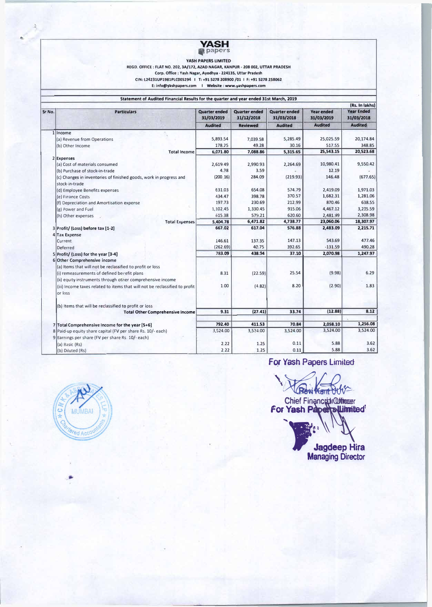

YASH **PAPERS** LIMITED REGD. OFFICE: FLAT NO. 202, **3A/172, A2AD NAGAR, KANPUR· 208 002, UTTAR PRADESH**  Corp. Office : Yash **Nagar, Ayodhya** - **224135,** Uttar Pradesh CIN: l24231UP1981PLC005294 I T: **+915278 208900** /01 I F: **+915278 258062 E: info@yashpapers.com** I **Website: www.yashpapers.com** 

**Statement of Audited** Financial **Results for the quarter and year ended 31st March, 2019** 

|        |                                                                                      |                                    |                                    |                                    |                                 | (Rs. In lakhs)                  |
|--------|--------------------------------------------------------------------------------------|------------------------------------|------------------------------------|------------------------------------|---------------------------------|---------------------------------|
| Sr No. | <b>Particulars</b>                                                                   | <b>Quarter ended</b><br>31/03/2019 | <b>Quarter ended</b><br>31/12/2018 | <b>Quarter ended</b><br>31/03/2018 | <b>Year ended</b><br>31/03/2019 | <b>Year Ended</b><br>31/03/2018 |
|        |                                                                                      | <b>Audited</b>                     | <b>Reviewed</b>                    | <b>Audited</b>                     | <b>Audited</b>                  | <b>Audited</b>                  |
|        | 1 Income                                                                             |                                    |                                    |                                    |                                 |                                 |
|        | (a) Revenue from Operations                                                          | 5,893.54                           | 7.039.58                           | 5,285.49                           | 25,025.59                       | 20,174.84                       |
|        | (b) Other Income                                                                     | 178.25                             | 49.28                              | 30.16                              | 517.55                          | 348.85                          |
|        | <b>Total Income</b>                                                                  | 6,071.80                           | 7,088.86                           | 5,315.65                           | 25,543.15                       | 20,523.68                       |
|        | 2 Expenses                                                                           |                                    |                                    |                                    |                                 |                                 |
|        | (a) Cost of materials consumed                                                       | 2,619.49                           | 2,990.93                           | 2,264.69                           | 10,980.41                       | 9,550.42                        |
|        | (b) Purchase of stock-in-trade                                                       | 4.38                               | 3.59                               |                                    | 12.19                           |                                 |
|        | (c) Changes in inventories of finished goods, work in progress and<br>stock-in-trade | (200 16)                           | 284.09                             | (219.93)                           | 146.48                          | (677.65)                        |
|        | (d) Employee Benefits expenses                                                       | 631.03                             | 654.08                             | 574.79                             | 2.419.09                        | 1,971.03                        |
|        | (e) Finance Costs                                                                    | 434.47                             | 398.78                             | 370.57                             | 1,682.31                        | 1,281.06                        |
|        | (f) Depreciation and Amortisation expense                                            | 197.73                             | 230.69                             | 212.99                             | 870.46                          | 638.55                          |
|        | (g) Power and Fuel                                                                   | 1.102.45                           | 1,330.45                           | 915.06                             | 4,467.12                        | 3,235.59                        |
|        | (h) Other expenses                                                                   | 615.38                             | 579.21                             | 620.60                             | 2,481.99                        | 2,308.98                        |
|        | <b>Total Expenses</b>                                                                | 5,404.78                           | 6,471.82                           | 4,738.77                           | 23,060.06                       | 18,307.97                       |
|        | 3 Profit/ (Loss) before tax [1-2]                                                    | 667.02                             | 617.04                             | 576.88                             | 2,483.09                        | 2,215.71                        |
|        | 4 Tax Expense                                                                        |                                    |                                    |                                    |                                 |                                 |
|        | Current                                                                              | 146.61                             | 137.35                             | 147.13                             | 543.69                          | 477.46                          |
|        | Deferred                                                                             | (262.69)                           | 40.75                              | 392.65                             | $-131.59$                       | 490.28                          |
|        | 5 Profit/ (Loss) for the year [3-4]                                                  | 783.09                             | 438.94                             | 37.10                              | 2,070.98                        | 1,247.97                        |
|        | 6 Other Comprehensive income                                                         |                                    |                                    |                                    |                                 |                                 |
|        | (a) Items that will not be reclassified to profit or loss                            |                                    |                                    |                                    |                                 |                                 |
|        | (i) remeasurements of defined berefit plans                                          | 8.31                               | (22.59)                            | 25.54                              | (9.98)                          | 6.29                            |
|        | (ii) equity instruments through other comprehensive income                           |                                    |                                    |                                    |                                 |                                 |
|        | (iii) Income taxes related to items that will not be reclassified to profit          | 1.00                               | (4.82)                             | 8.20                               | (2.90)                          | 1.83                            |
|        | or loss                                                                              |                                    |                                    |                                    |                                 |                                 |
|        | (b) Items that will be reclassified to profit or loss                                |                                    |                                    |                                    |                                 |                                 |
|        | <b>Total Other Comprehensive Income</b>                                              | 9.31                               | (27.41)                            | 33.74                              | (12.88)                         | 8.12                            |
|        | 7 Total Comprehensive Income for the year [5+6]                                      | 792.40                             | 411.53                             | 70.84                              | 2,058.10                        | 1,256.08                        |
|        | 8 Paid-up equity share capital (FV per share Rs. 10/- each)                          | 3,524.00                           | 3,524.00                           | 3,524.00                           | 3,524.00                        | 3,524.00                        |
|        | 9 Earnings per share (FV per share Rs. 10/- each)                                    |                                    |                                    |                                    |                                 |                                 |
|        | (a) Basic (Rs)                                                                       | 2.22                               | 1.25                               | 0.11                               | 5.88                            | 3.62                            |
|        | (b) Diluted (Rs)                                                                     | 2.22                               | 1.25                               | 0.11                               | 5.88                            | 3.62                            |



..

**For Yash Papers Limited** 

UP Fash Papers Limited

**for Yash Paper summited** 

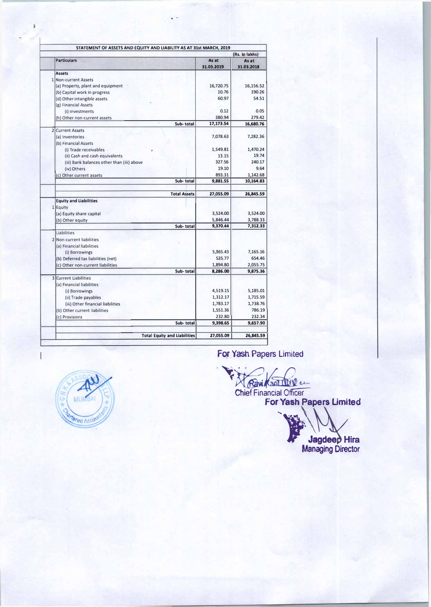|                                            |                     | (Rs. lo lakhs)      |
|--------------------------------------------|---------------------|---------------------|
| <b>Particulars</b>                         | As at<br>31.03.2019 | As at<br>31.03.2018 |
| <b>Assets</b>                              |                     |                     |
| 1 Non-current Assets                       |                     |                     |
| (a) Property, plant and equipment          | 16,720.75           | 16,156.52           |
| (b) Capital work in progress               | 10.76               | 190.26              |
| (d) Other intangible assets                | 60.97               | 54.51               |
| (g) Financial Assets                       |                     |                     |
| (i) Investments                            | 0.12                | 0.05                |
| (h) Other non-current assets               | 380.94              | 279.42              |
| Sub-total                                  | 17,173.54           | 16,680.76           |
| 2 Current Assets                           |                     |                     |
| (a) Inventories                            | 7,078.63            | 7,282.36            |
| (b) Financial Assets                       |                     |                     |
| (i) Trade receivables                      | 1,549.81            | 1,470.24            |
| (ii) Cash and cash equivalents             | 13.15               | 19.74               |
| (iii) Bank balances other than (iii) above | 327.56              | 240.17              |
| (iv) Others                                | 19.10               | 9.64                |
| (c) Other current assets                   | 893.31              | 1,142.68            |
| Sub-total                                  | 9,881.55            | 10,164.83           |
| <b>Total Assets</b>                        | 27,055.09           | 26,845.59           |
| <b>Equity and Liabilities</b>              |                     |                     |
| 1 Equity                                   |                     |                     |
| (a) Equity share capital                   | 3,524.00            | 3,524.00            |
| (b) Other equity                           | 5,846.44            | 3,788.33            |
| Sub-total                                  | 9,370.44            | 7,312.33            |
| <b>Liabilities</b>                         |                     |                     |
| 2 Non-current liabilities                  |                     |                     |
| (a) Financial liabilities                  |                     |                     |
| (i) Borrowings                             | 5,365.43            | 7,165.16            |
| (b) Deferred tax liabilities (net)         | 525.77              | 654.46              |
| (c) Other non-current liabilities          | 1,894.80            | 2,055.75            |
| Sub-total                                  | 8.286.00            | 9,875.36            |
| <b>3</b> Current Liabilities               |                     |                     |
| (a) Financial liabilities                  |                     |                     |
| (i) Borrowings                             | 4,519.15            | 5,185.01            |
| (ii) Trade payables                        | 1,312.17            | 1,715.59            |
| (iii) Other financial liabilities          | 1,783.17            | 1,738.76            |
| (b) Other current liabilities              | 1,551.36            | 786.19              |
| (c) Provisions                             | 232.80              | 232.34              |
| Sub-total                                  | 9,398.65            | 9,657.90            |
| <b>Total Equity and Liabilities</b>        | 27,055.09           | 26,845.59           |

' .

For Yash Papers Limited



Chief Financial Officer For Yash Papers Limited

*'""'1·* 

**AF** Jagdeep Hira Managing Director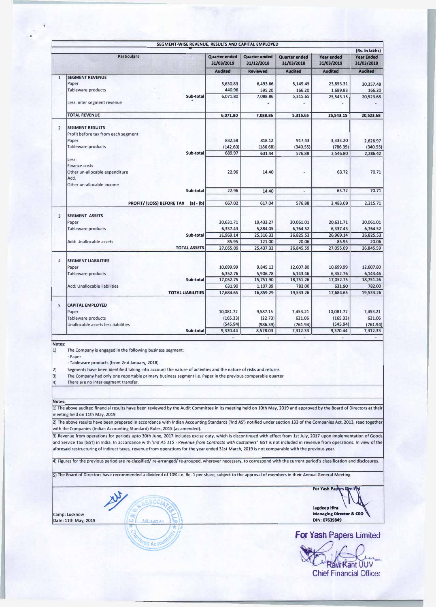| (Rs. In lakhs)              |                                                                                                                                                                                                                                         |                                    |                                    |                                    |                                 |                                 |  |  |
|-----------------------------|-----------------------------------------------------------------------------------------------------------------------------------------------------------------------------------------------------------------------------------------|------------------------------------|------------------------------------|------------------------------------|---------------------------------|---------------------------------|--|--|
|                             | <b>Particulars</b>                                                                                                                                                                                                                      | <b>Quarter ended</b><br>31/03/2019 | <b>Quarter ended</b><br>31/12/2018 | <b>Quarter ended</b><br>31/03/2018 | <b>Year ended</b><br>31/03/2019 | <b>Year Ended</b><br>31/03/2018 |  |  |
|                             |                                                                                                                                                                                                                                         | <b>Audited</b>                     | <b>Reviewed</b>                    | <b>Audited</b>                     | <b>Audited</b>                  | <b>Audited</b>                  |  |  |
| $\mathbf{1}$                | <b>SEGMENT REVENUE</b>                                                                                                                                                                                                                  |                                    |                                    |                                    |                                 |                                 |  |  |
|                             | Paper                                                                                                                                                                                                                                   | 5,630.83                           | 6,493.66                           | 5,149.45                           | 23,853.31                       | 20,357.48                       |  |  |
|                             | Tableware products                                                                                                                                                                                                                      | 440.96                             | 595.20                             | 166.20                             | 1,689.83                        | 166.20                          |  |  |
|                             | Sub-total                                                                                                                                                                                                                               | 6,071.80                           | 7,088.86                           | 5,315.65                           | 25,543.15                       | 20,523.68                       |  |  |
|                             | Less: inter segment revenue                                                                                                                                                                                                             |                                    |                                    |                                    |                                 |                                 |  |  |
|                             | <b>TOTAL REVENUE</b>                                                                                                                                                                                                                    | 6,071.80                           | 7,088.86                           | 5,315.65                           | 25,543.15                       | 20,523.68                       |  |  |
|                             |                                                                                                                                                                                                                                         |                                    |                                    |                                    |                                 |                                 |  |  |
| $\overline{2}$              | <b>SEGMENT RESULTS</b>                                                                                                                                                                                                                  |                                    |                                    |                                    |                                 |                                 |  |  |
|                             | Profit before tax from each segment                                                                                                                                                                                                     |                                    |                                    |                                    |                                 |                                 |  |  |
|                             | Paper                                                                                                                                                                                                                                   | 832.58                             | 818.12                             | 917.43                             | 3,333.20                        | 2,626.97                        |  |  |
|                             | Tableware products                                                                                                                                                                                                                      | (142.60)                           | (186.68)                           | (340.55)                           | (786.39)                        | (340.55)                        |  |  |
|                             | Sub-total                                                                                                                                                                                                                               | 689.97                             | 631.44                             | 576.88                             | 2,546.80                        | 2,286.42                        |  |  |
|                             | Less:<br><b>Finance costs</b>                                                                                                                                                                                                           |                                    |                                    |                                    |                                 |                                 |  |  |
|                             | Other un-allocable expenditure                                                                                                                                                                                                          | 22.96                              | 14.40                              |                                    | 63.72                           | 70.71                           |  |  |
|                             | Add:                                                                                                                                                                                                                                    |                                    |                                    |                                    |                                 |                                 |  |  |
|                             | Other un-allocable income                                                                                                                                                                                                               |                                    |                                    |                                    |                                 |                                 |  |  |
|                             | Sub-total                                                                                                                                                                                                                               | 22.96                              | 14.40                              | ٠                                  | 63.72                           | 70.71                           |  |  |
|                             |                                                                                                                                                                                                                                         |                                    |                                    |                                    |                                 |                                 |  |  |
|                             | PROFIT/(LOSS) BEFORE TAX (a) - (b)                                                                                                                                                                                                      | 667.02                             | 617.04                             | 576.88                             | 2.483.09                        | 2,215.71                        |  |  |
|                             |                                                                                                                                                                                                                                         |                                    |                                    |                                    |                                 |                                 |  |  |
| 3                           | <b>SEGMENT ASSETS</b>                                                                                                                                                                                                                   |                                    |                                    |                                    |                                 |                                 |  |  |
|                             | Paper                                                                                                                                                                                                                                   | 20,631.71                          | 19,432.27                          | 20,061.01                          | 20,631.71                       | 20,061.01                       |  |  |
|                             | Tableware products                                                                                                                                                                                                                      | 6,337.43                           | 5,884.05                           | 6,764.52                           | 6,337.43                        | 6,764.52                        |  |  |
|                             | Sub-total                                                                                                                                                                                                                               | 26,969.14                          | 25,316.32                          | 26,825.53                          | 26,969.14                       | 26,825.53                       |  |  |
|                             | Add: Unallocable assets                                                                                                                                                                                                                 | 85.95                              | 121.00                             | 20.06                              | 85.95                           | 20.06                           |  |  |
|                             | <b>TOTAL ASSETS</b>                                                                                                                                                                                                                     | 27,055.09                          | 25,437.32                          | 26,845.59                          | 27,055.09                       | 26,845.59                       |  |  |
| $\overline{4}$              | <b>SEGMENT LIABILITIES</b>                                                                                                                                                                                                              |                                    |                                    |                                    |                                 |                                 |  |  |
|                             | Paper                                                                                                                                                                                                                                   | 10,699.99                          | 9,845.12                           | 12,607.80                          | 10,699.99                       | 12,607.80                       |  |  |
|                             | Tableware products                                                                                                                                                                                                                      | 6,352.76                           | 5,906.78                           | 6,143.46                           | 6,352.76                        | 6,143.46                        |  |  |
|                             | Sub-total                                                                                                                                                                                                                               | 17,052.75                          | 15,751.90                          | 18,751.26                          | 17,052.75                       | 18,751.26                       |  |  |
|                             | Add: Unallocable liabilities                                                                                                                                                                                                            | 631.90                             | 1,107.39                           | 782.00                             | 631.90                          | 782.00                          |  |  |
|                             | <b>TOTAL LIABILITIES</b>                                                                                                                                                                                                                | 17,684.65                          | 16,859.29                          | 19,533.26                          | 17,684.65                       | 19,533.26                       |  |  |
|                             |                                                                                                                                                                                                                                         |                                    |                                    |                                    |                                 |                                 |  |  |
| 5                           | <b>CAPITAL EMPLOYED</b>                                                                                                                                                                                                                 |                                    |                                    |                                    |                                 |                                 |  |  |
|                             | Paper                                                                                                                                                                                                                                   | 10,081.72                          | 9,587.15                           | 7,453.21                           | 10,081.72                       | 7,453.21                        |  |  |
|                             | Tableware products                                                                                                                                                                                                                      | (165.33)                           | (22.73)                            | 621.06                             | (165.33)                        | 621.06                          |  |  |
|                             | Unallocable assets less liabilities                                                                                                                                                                                                     | (545.94)                           | (986.39)                           | (761.94)                           | (545.94)                        | (761.94)                        |  |  |
|                             | Sub-total                                                                                                                                                                                                                               | 9,370.44                           | 8,578.03                           | 7,312.33                           | 9,370.44                        | 7,312.33                        |  |  |
|                             |                                                                                                                                                                                                                                         | ù,                                 | ¥                                  | G,                                 | ×                               | ×,                              |  |  |
| Notes:<br>$ 1\rangle$<br>2) | The Company is engaged in the following business segment:<br>- Paper<br>- Tableware products (from 2nd January, 2018)<br>Segments have been identified taking into account the nature of activities and the nature of risks and returns |                                    |                                    |                                    |                                 |                                 |  |  |
| 3)                          | The Company had only one reportable primary business segment i.e. Paper in the previous comparable quarter                                                                                                                              |                                    |                                    |                                    |                                 |                                 |  |  |
| $ 4\rangle$                 | There are no inter-segment transfer.                                                                                                                                                                                                    |                                    |                                    |                                    |                                 |                                 |  |  |

#### **Notes:**

•

1) The above audited financial results have been reviewed by the Audit Committee in its meeting held on 10th May, 2019 and approved by the Board of Directors at their meeting held on 11th May, 2019

2) The above results have been prepared in accordance with Indian Accounting Standards ('Ind AS') notified under section 133 of the Companies Act, 2013, read together with the Companies (Indian Accounting Standard) Rules, 2015 (as amended).

3) Revenue from operations for periods upto 30th June, 2017 includes excise duty, which is discontinued with effect from 1st July, 2017 upon implementation of Goods and Service Tax (GST) in India. In accordance with *'Ind AS 115* - *Revenue from Contracts with Customers'* GST is not included in revenue from operations. In view of the aforesaid restructuring of indirect taxes, revenue from operations for the year ended 31st March, 2019 is not comparable with the previous year.

4) Figures for the previous period are re-classified/ re-arranged/ re-grouped, wherever necessary, to correspond with the current period's classification and disclosures.

5) The Board of Directors have recommended a dividend of 10% i.e. Re. 1 per share, subject to the approval of members in their Annual General Meeting.

Date: 11th May, 2019

 $\frac{1}{\ast}$  M

For Vash Papyrs Uprints<br>
Jagdeep Hira<br>
MILMBAL ET MAINMBAL ET MAINMBAL ET MAINMBAL ET MAINMBAL ET MAINMBAL ET MAINMBAL ET MAINMBAL ET MAINMBAL ET MA<br>
DIN: 07639849 **Jagdeep Hira**  Camp: Lucknow **Managing Director & CEO Managing Director & CEO Managing Director & CEO**